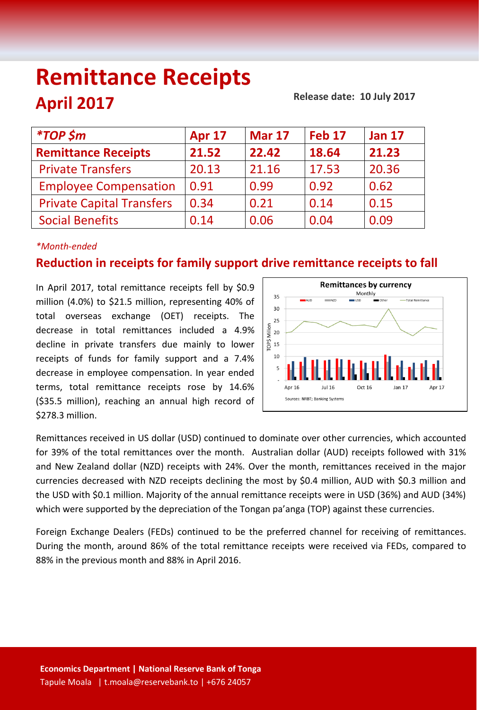# **Remittance Receipts April 2017**

 **Release date: 10 July 2017**

| <i><b>*TOP \$m</b></i>           | <b>Apr 17</b> | <b>Mar 17</b> | <b>Feb 17</b> | <b>Jan 17</b> |
|----------------------------------|---------------|---------------|---------------|---------------|
| <b>Remittance Receipts</b>       | 21.52         | 22.42         | 18.64         | 21.23         |
| <b>Private Transfers</b>         | 20.13         | 21.16         | 17.53         | 20.36         |
| <b>Employee Compensation</b>     | 0.91          | 0.99          | 0.92          | 0.62          |
| <b>Private Capital Transfers</b> | 0.34          | 0.21          | 0.14          | 0.15          |
| <b>Social Benefits</b>           | 0.14          | 0.06          | 0.04          | 0.09          |
|                                  |               |               |               |               |

### *\*Month-ended*

## **Reduction in receipts for family support drive remittance receipts to fall**

In April 2017, total remittance receipts fell by \$0.9 million (4.0%) to \$21.5 million, representing 40% of total overseas exchange (OET) receipts. The decrease in total remittances included a 4.9% decline in private transfers due mainly to lower receipts of funds for family support and a 7.4% decrease in employee compensation. In year ended terms, total remittance receipts rose by 14.6% (\$35.5 million), reaching an annual high record of \$278.3 million.



Remittances received in US dollar (USD) continued to dominate over other currencies, which accounted for 39% of the total remittances over the month. Australian dollar (AUD) receipts followed with 31% and New Zealand dollar (NZD) receipts with 24%. Over the month, remittances received in the major currencies decreased with NZD receipts declining the most by \$0.4 million, AUD with \$0.3 million and the USD with \$0.1 million. Majority of the annual remittance receipts were in USD (36%) and AUD (34%) which were supported by the depreciation of the Tongan pa'anga (TOP) against these currencies.

Foreign Exchange Dealers (FEDs) continued to be the preferred channel for receiving of remittances. During the month, around 86% of the total remittance receipts were received via FEDs, compared to 88% in the previous month and 88% in April 2016.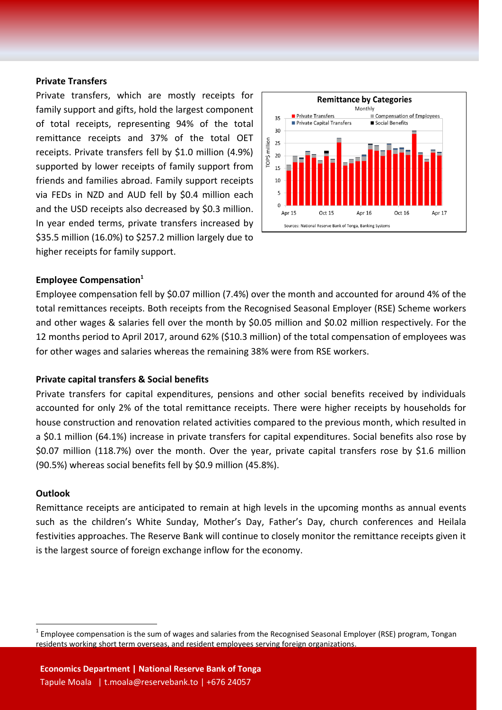#### **Private Transfers**

Private transfers, which are mostly receipts for family support and gifts, hold the largest component of total receipts, representing 94% of the total remittance receipts and 37% of the total OET receipts. Private transfers fell by \$1.0 million (4.9%) supported by lower receipts of family support from friends and families abroad. Family support receipts via FEDs in NZD and AUD fell by \$0.4 million each and the USD receipts also decreased by \$0.3 million. In year ended terms, private transfers increased by \$35.5 million (16.0%) to \$257.2 million largely due to higher receipts for family support.



#### **Employee Compensation<sup>1</sup>**

Employee compensation fell by \$0.07 million (7.4%) over the month and accounted for around 4% of the total remittances receipts. Both receipts from the Recognised Seasonal Employer (RSE) Scheme workers and other wages & salaries fell over the month by \$0.05 million and \$0.02 million respectively. For the 12 months period to April 2017, around 62% (\$10.3 million) of the total compensation of employees was for other wages and salaries whereas the remaining 38% were from RSE workers.

#### **Private capital transfers & Social benefits**

Private transfers for capital expenditures, pensions and other social benefits received by individuals accounted for only 2% of the total remittance receipts. There were higher receipts by households for house construction and renovation related activities compared to the previous month, which resulted in a \$0.1 million (64.1%) increase in private transfers for capital expenditures. Social benefits also rose by \$0.07 million (118.7%) over the month. Over the year, private capital transfers rose by \$1.6 million (90.5%) whereas social benefits fell by \$0.9 million (45.8%).

#### **Outlook**

 $\overline{a}$ 

Remittance receipts are anticipated to remain at high levels in the upcoming months as annual events such as the children's White Sunday, Mother's Day, Father's Day, church conferences and Heilala festivities approaches. The Reserve Bank will continue to closely monitor the remittance receipts given it is the largest source of foreign exchange inflow for the economy.

 $^1$  Employee compensation is the sum of wages and salaries from the Recognised Seasonal Employer (RSE) program, Tongan residents working short term overseas, and resident employees serving foreign organizations.